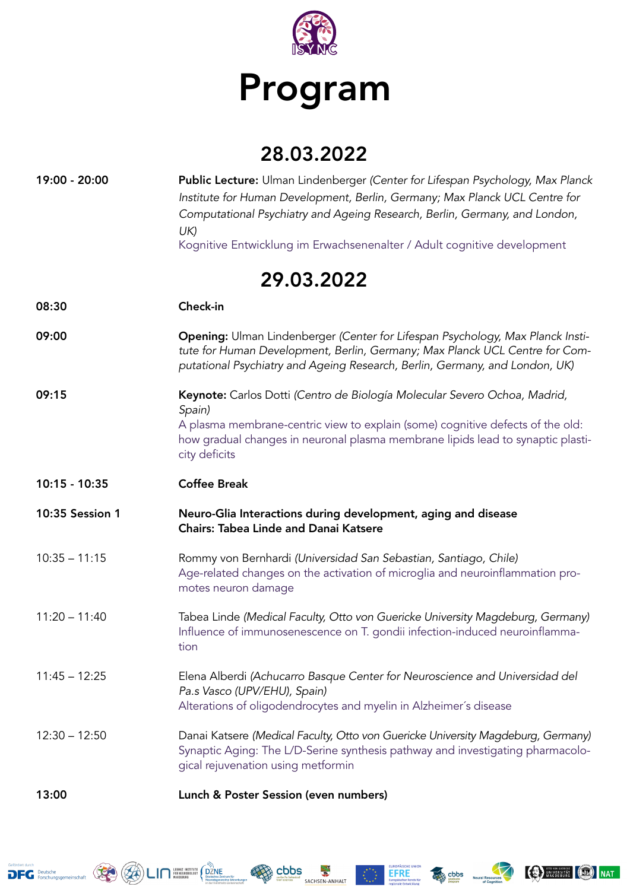

## Program

## 28.03.2022

| 19:00 - 20:00   | Public Lecture: Ulman Lindenberger (Center for Lifespan Psychology, Max Planck<br>Institute for Human Development, Berlin, Germany; Max Planck UCL Centre for<br>Computational Psychiatry and Ageing Research, Berlin, Germany, and London,<br>UK)                        |  |  |
|-----------------|---------------------------------------------------------------------------------------------------------------------------------------------------------------------------------------------------------------------------------------------------------------------------|--|--|
|                 | Kognitive Entwicklung im Erwachsenenalter / Adult cognitive development                                                                                                                                                                                                   |  |  |
| 29.03.2022      |                                                                                                                                                                                                                                                                           |  |  |
| 08:30           | Check-in                                                                                                                                                                                                                                                                  |  |  |
| 09:00           | Opening: Ulman Lindenberger (Center for Lifespan Psychology, Max Planck Insti-<br>tute for Human Development, Berlin, Germany; Max Planck UCL Centre for Com-<br>putational Psychiatry and Ageing Research, Berlin, Germany, and London, UK)                              |  |  |
| 09:15           | Keynote: Carlos Dotti (Centro de Biología Molecular Severo Ochoa, Madrid,<br>Spain)<br>A plasma membrane-centric view to explain (some) cognitive defects of the old:<br>how gradual changes in neuronal plasma membrane lipids lead to synaptic plasti-<br>city deficits |  |  |
| 10:15 - 10:35   | <b>Coffee Break</b>                                                                                                                                                                                                                                                       |  |  |
| 10:35 Session 1 | Neuro-Glia Interactions during development, aging and disease<br><b>Chairs: Tabea Linde and Danai Katsere</b>                                                                                                                                                             |  |  |
| $10:35 - 11:15$ | Rommy von Bernhardi (Universidad San Sebastian, Santiago, Chile)<br>Age-related changes on the activation of microglia and neuroinflammation pro-<br>motes neuron damage                                                                                                  |  |  |
| $11:20 - 11:40$ | Tabea Linde (Medical Faculty, Otto von Guericke University Magdeburg, Germany)<br>Influence of immunosenescence on T. gondii infection-induced neuroinflamma-<br>tion                                                                                                     |  |  |
| $11:45 - 12:25$ | Elena Alberdi (Achucarro Basque Center for Neuroscience and Universidad del<br>Pa.s Vasco (UPV/EHU), Spain)<br>Alterations of oligodendrocytes and myelin in Alzheimer's disease                                                                                          |  |  |
| $12:30 - 12:50$ | Danai Katsere (Medical Faculty, Otto von Guericke University Magdeburg, Germany)<br>Synaptic Aging: The L/D-Serine synthesis pathway and investigating pharmacolo-<br>gical rejuvenation using metformin                                                                  |  |  |
| 13:00           | Lunch & Poster Session (even numbers)                                                                                                                                                                                                                                     |  |  |









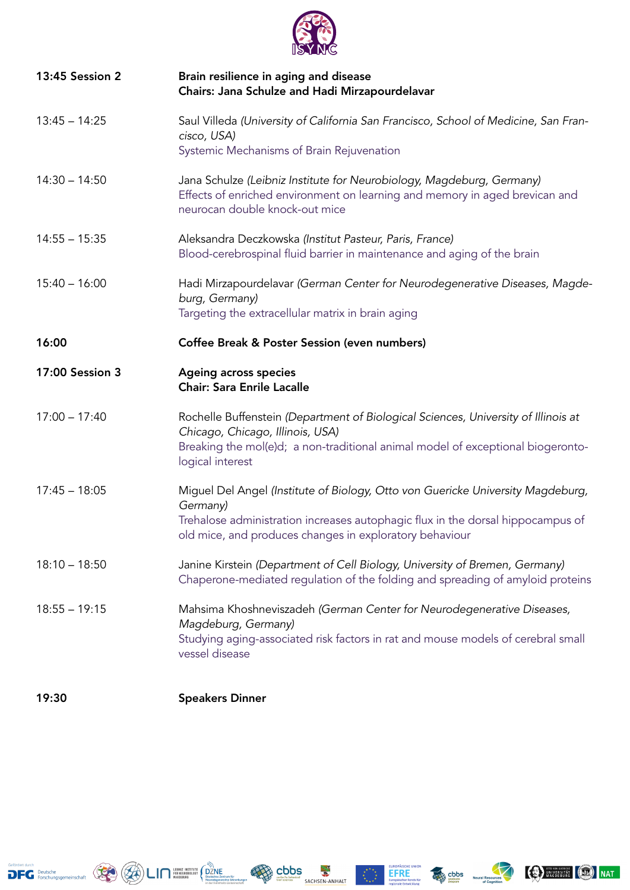

| 13:45 Session 2 | Brain resilience in aging and disease<br>Chairs: Jana Schulze and Hadi Mirzapourdelavar                                                                                                                                                   |
|-----------------|-------------------------------------------------------------------------------------------------------------------------------------------------------------------------------------------------------------------------------------------|
| $13:45 - 14:25$ | Saul Villeda (University of California San Francisco, School of Medicine, San Fran-<br>cisco, USA)<br>Systemic Mechanisms of Brain Rejuvenation                                                                                           |
| $14:30 - 14:50$ | Jana Schulze (Leibniz Institute for Neurobiology, Magdeburg, Germany)<br>Effects of enriched environment on learning and memory in aged brevican and<br>neurocan double knock-out mice                                                    |
| $14:55 - 15:35$ | Aleksandra Deczkowska (Institut Pasteur, Paris, France)<br>Blood-cerebrospinal fluid barrier in maintenance and aging of the brain                                                                                                        |
| $15:40 - 16:00$ | Hadi Mirzapourdelavar (German Center for Neurodegenerative Diseases, Magde-<br>burg, Germany)<br>Targeting the extracellular matrix in brain aging                                                                                        |
| 16:00           | Coffee Break & Poster Session (even numbers)                                                                                                                                                                                              |
| 17:00 Session 3 | <b>Ageing across species</b><br><b>Chair: Sara Enrile Lacalle</b>                                                                                                                                                                         |
| $17:00 - 17:40$ | Rochelle Buffenstein (Department of Biological Sciences, University of Illinois at<br>Chicago, Chicago, Illinois, USA)<br>Breaking the mol(e)d; a non-traditional animal model of exceptional biogeronto-<br>logical interest             |
| $17:45 - 18:05$ | Miguel Del Angel (Institute of Biology, Otto von Guericke University Magdeburg,<br>Germany)<br>Trehalose administration increases autophagic flux in the dorsal hippocampus of<br>old mice, and produces changes in exploratory behaviour |
| $18:10 - 18:50$ | Janine Kirstein (Department of Cell Biology, University of Bremen, Germany)<br>Chaperone-mediated regulation of the folding and spreading of amyloid proteins                                                                             |
| $18:55 - 19:15$ | Mahsima Khoshneviszadeh (German Center for Neurodegenerative Diseases,<br>Magdeburg, Germany)<br>Studying aging-associated risk factors in rat and mouse models of cerebral small<br>vessel disease                                       |

19:30 Speakers Dinner









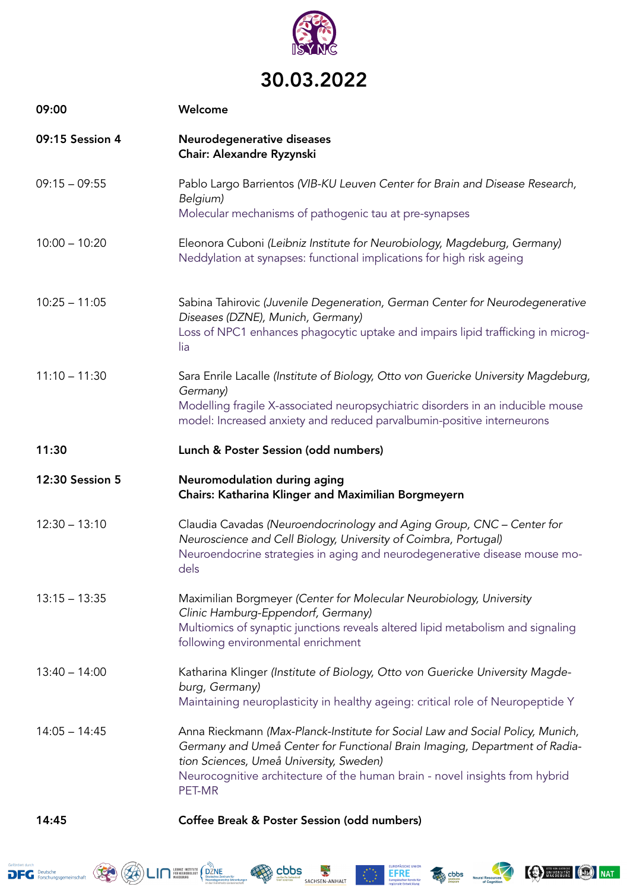

## 30.03.2022

| 09:00           | Welcome                                                                                                                                                                                                                                                                                          |
|-----------------|--------------------------------------------------------------------------------------------------------------------------------------------------------------------------------------------------------------------------------------------------------------------------------------------------|
| 09:15 Session 4 | Neurodegenerative diseases<br>Chair: Alexandre Ryzynski                                                                                                                                                                                                                                          |
| $09:15 - 09:55$ | Pablo Largo Barrientos (VIB-KU Leuven Center for Brain and Disease Research,<br>Belgium)<br>Molecular mechanisms of pathogenic tau at pre-synapses                                                                                                                                               |
| $10:00 - 10:20$ | Eleonora Cuboni (Leibniz Institute for Neurobiology, Magdeburg, Germany)<br>Neddylation at synapses: functional implications for high risk ageing                                                                                                                                                |
| $10:25 - 11:05$ | Sabina Tahirovic (Juvenile Degeneration, German Center for Neurodegenerative<br>Diseases (DZNE), Munich, Germany)<br>Loss of NPC1 enhances phagocytic uptake and impairs lipid trafficking in microg-<br>lia                                                                                     |
| $11:10 - 11:30$ | Sara Enrile Lacalle (Institute of Biology, Otto von Guericke University Magdeburg,<br>Germany)<br>Modelling fragile X-associated neuropsychiatric disorders in an inducible mouse<br>model: Increased anxiety and reduced parvalbumin-positive interneurons                                      |
| 11:30           | Lunch & Poster Session (odd numbers)                                                                                                                                                                                                                                                             |
| 12:30 Session 5 | Neuromodulation during aging<br>Chairs: Katharina Klinger and Maximilian Borgmeyern                                                                                                                                                                                                              |
| $12:30 - 13:10$ | Claudia Cavadas (Neuroendocrinology and Aging Group, CNC - Center for<br>Neuroscience and Cell Biology, University of Coimbra, Portugal)<br>Neuroendocrine strategies in aging and neurodegenerative disease mouse mo-<br>dels                                                                   |
| $13:15 - 13:35$ | Maximilian Borgmeyer (Center for Molecular Neurobiology, University<br>Clinic Hamburg-Eppendorf, Germany)<br>Multiomics of synaptic junctions reveals altered lipid metabolism and signaling<br>following environmental enrichment                                                               |
| $13:40 - 14:00$ | Katharina Klinger (Institute of Biology, Otto von Guericke University Magde-<br>burg, Germany)<br>Maintaining neuroplasticity in healthy ageing: critical role of Neuropeptide Y                                                                                                                 |
| $14:05 - 14:45$ | Anna Rieckmann (Max-Planck-Institute for Social Law and Social Policy, Munich,<br>Germany and Umeå Center for Functional Brain Imaging, Department of Radia-<br>tion Sciences, Umeå University, Sweden)<br>Neurocognitive architecture of the human brain - novel insights from hybrid<br>PET-MR |
| 14:45           | Coffee Break & Poster Session (odd numbers)                                                                                                                                                                                                                                                      |



obbs **&**